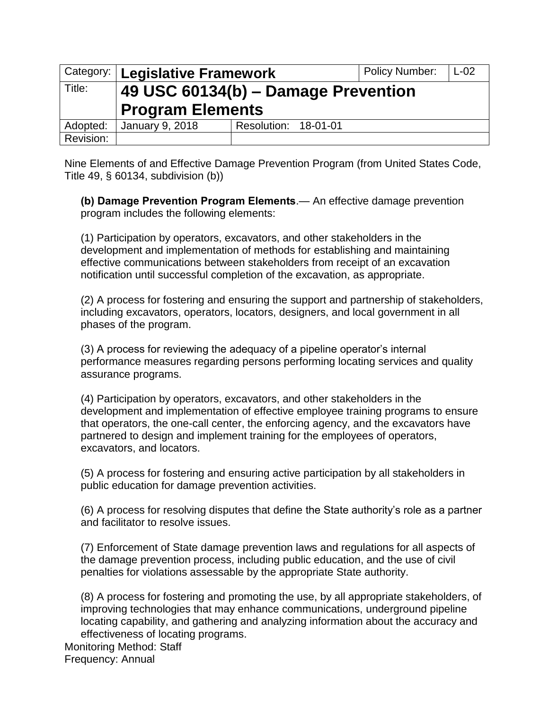|           | Category:   Legislative Framework   |                      | <b>Policy Number:</b> | $L-02$ |
|-----------|-------------------------------------|----------------------|-----------------------|--------|
| Title:    | 49 USC 60134(b) - Damage Prevention |                      |                       |        |
|           | <b>Program Elements</b>             |                      |                       |        |
| Adopted:  | January 9, 2018                     | Resolution: 18-01-01 |                       |        |
| Revision: |                                     |                      |                       |        |

Nine Elements of and Effective Damage Prevention Program (from United States Code, Title 49, § 60134, subdivision (b))

**(b) Damage Prevention Program Elements**.— An effective damage prevention program includes the following elements:

 development and implementation of methods for establishing and maintaining notification until successful completion of the excavation, as appropriate. (1) Participation by operators, excavators, and other stakeholders in the effective communications between stakeholders from receipt of an excavation

(2) A process for fostering and ensuring the support and partnership of stakeholders, including excavators, operators, locators, designers, and local government in all phases of the program.

(3) A process for reviewing the adequacy of a pipeline operator's internal performance measures regarding persons performing locating services and quality assurance programs.

 development and implementation of effective employee training programs to ensure (4) Participation by operators, excavators, and other stakeholders in the that operators, the one-call center, the enforcing agency, and the excavators have partnered to design and implement training for the employees of operators, excavators, and locators.

(5) A process for fostering and ensuring active participation by all stakeholders in public education for damage prevention activities.

(6) A process for resolving disputes that define the State authority's role as a partner and facilitator to resolve issues.

 the damage prevention process, including public education, and the use of civil (7) Enforcement of State damage prevention laws and regulations for all aspects of penalties for violations assessable by the appropriate State authority.

(8) A process for fostering and promoting the use, by all appropriate stakeholders, of improving technologies that may enhance communications, underground pipeline locating capability, and gathering and analyzing information about the accuracy and effectiveness of locating programs.

Monitoring Method: Staff Frequency: Annual